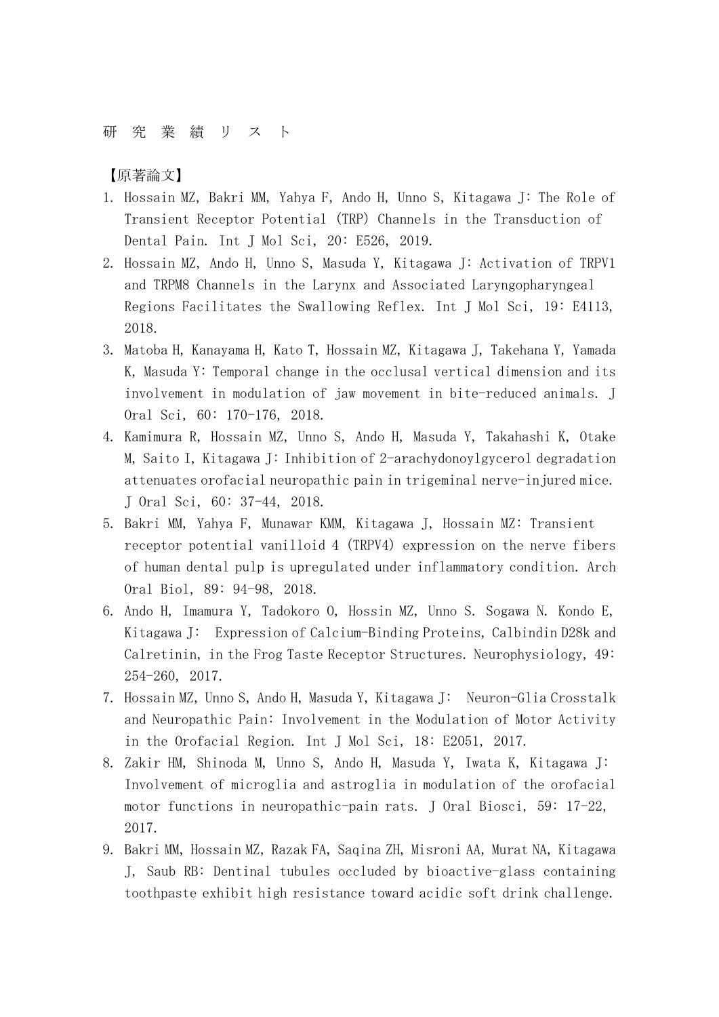## 研 究 業 績 リ ス ト

【原著論文】

- 1. Hossain MZ, Bakri MM, Yahya F, Ando H, Unno S, Kitagawa J: The Role of Transient Receptor Potential (TRP) Channels in the Transduction of Dental Pain. Int J Mol Sci, 20: E526, 2019.
- 2. Hossain MZ, Ando H, Unno S, Masuda Y, Kitagawa J: Activation of TRPV1 and TRPM8 Channels in the Larynx and Associated Laryngopharyngeal Regions Facilitates the Swallowing Reflex. Int J Mol Sci, 19: E4113, 2018.
- 3. Matoba H, Kanayama H, Kato T, Hossain MZ, Kitagawa J, Takehana Y, Yamada K, Masuda Y: Temporal change in the occlusal vertical dimension and its involvement in modulation of jaw movement in bite-reduced animals. J Oral Sci, 60: 170-176, 2018.
- 4. Kamimura R, Hossain MZ, Unno S, Ando H, Masuda Y, Takahashi K, Otake M, Saito I, Kitagawa J: Inhibition of 2-arachydonoylgycerol degradation attenuates orofacial neuropathic pain in trigeminal nerve-injured mice. J Oral Sci, 60: 37-44, 2018.
- 5. Bakri MM, Yahya F, Munawar KMM, Kitagawa J, Hossain MZ: Transient receptor potential vanilloid 4 (TRPV4) expression on the nerve fibers of human dental pulp is upregulated under inflammatory condition. Arch Oral Biol, 89: 94-98, 2018.
- 6. Ando H, Imamura Y, Tadokoro O, Hossin MZ, Unno S. Sogawa N. Kondo E, Kitagawa J: Expression of Calcium-Binding Proteins, Calbindin D28k and Calretinin, in the Frog Taste Receptor Structures. Neurophysiology, 49: 254-260, 2017.
- 7. Hossain MZ, Unno S, Ando H, Masuda Y, Kitagawa J: Neuron-Glia Crosstalk and Neuropathic Pain: Involvement in the Modulation of Motor Activity in the Orofacial Region. Int J Mol Sci, 18: E2051, 2017.
- 8. Zakir HM, Shinoda M, Unno S, Ando H, Masuda Y, Iwata K, Kitagawa J: Involvement of microglia and astroglia in modulation of the orofacial motor functions in neuropathic-pain rats. J Oral Biosci, 59: 17-22, 2017.
- 9. Bakri MM, Hossain MZ, Razak FA, Saqina ZH, Misroni AA, Murat NA, Kitagawa J, Saub RB: Dentinal tubules occluded by bioactive-glass containing toothpaste exhibit high resistance toward acidic soft drink challenge.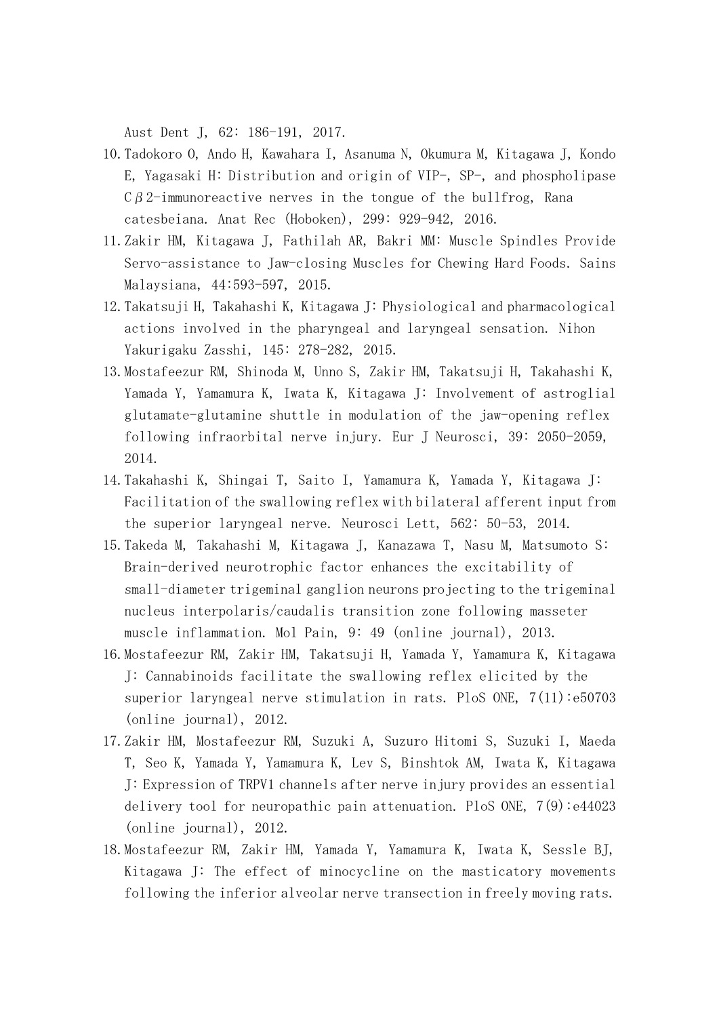Aust Dent J, 62: 186-191, 2017.

- 10.Tadokoro O, Ando H, Kawahara I, Asanuma N, Okumura M, Kitagawa J, Kondo E, Yagasaki H: Distribution and origin of VIP-, SP-, and phospholipase  $C\beta$  2-immunoreactive nerves in the tongue of the bullfrog, Rana catesbeiana. Anat Rec (Hoboken), 299: 929-942, 2016.
- 11.Zakir HM, Kitagawa J, Fathilah AR, Bakri MM: Muscle Spindles Provide Servo-assistance to Jaw-closing Muscles for Chewing Hard Foods. Sains Malaysiana, 44:593-597, 2015.
- 12.Takatsuji H, Takahashi K, Kitagawa J: Physiological and pharmacological actions involved in the pharyngeal and laryngeal sensation. Nihon Yakurigaku Zasshi, 145: 278-282, 2015.
- 13.Mostafeezur RM, Shinoda M, Unno S, Zakir HM, Takatsuji H, Takahashi K, Yamada Y, Yamamura K, Iwata K, Kitagawa J: Involvement of astroglial glutamate-glutamine shuttle in modulation of the jaw-opening reflex following infraorbital nerve injury. Eur J Neurosci, 39: 2050-2059, 2014.
- 14.Takahashi K, Shingai T, Saito I, Yamamura K, Yamada Y, Kitagawa J: Facilitation of the swallowing reflex with bilateral afferent input from the superior laryngeal nerve. Neurosci Lett, 562: 50-53, 2014.
- 15.Takeda M, Takahashi M, Kitagawa J, Kanazawa T, Nasu M, Matsumoto S: Brain-derived neurotrophic factor enhances the excitability of small-diameter trigeminal ganglion neurons projecting to the trigeminal nucleus interpolaris/caudalis transition zone following masseter muscle inflammation. Mol Pain, 9: 49 (online journal), 2013.
- 16.Mostafeezur RM, Zakir HM, Takatsuji H, Yamada Y, Yamamura K, Kitagawa J: Cannabinoids facilitate the swallowing reflex elicited by the superior laryngeal nerve stimulation in rats. PloS ONE, 7(11):e50703 (online journal), 2012.
- 17.Zakir HM, Mostafeezur RM, Suzuki A, Suzuro Hitomi S, Suzuki I, Maeda T, Seo K, Yamada Y, Yamamura K, Lev S, Binshtok AM, Iwata K, Kitagawa J: Expression of TRPV1 channels after nerve injury provides an essential delivery tool for neuropathic pain attenuation. PloS ONE,  $7(9):e44023$ (online journal), 2012.
- 18.Mostafeezur RM, Zakir HM, Yamada Y, Yamamura K, Iwata K, Sessle BJ, Kitagawa J: The effect of minocycline on the masticatory movements following the inferior alveolar nerve transection in freely moving rats.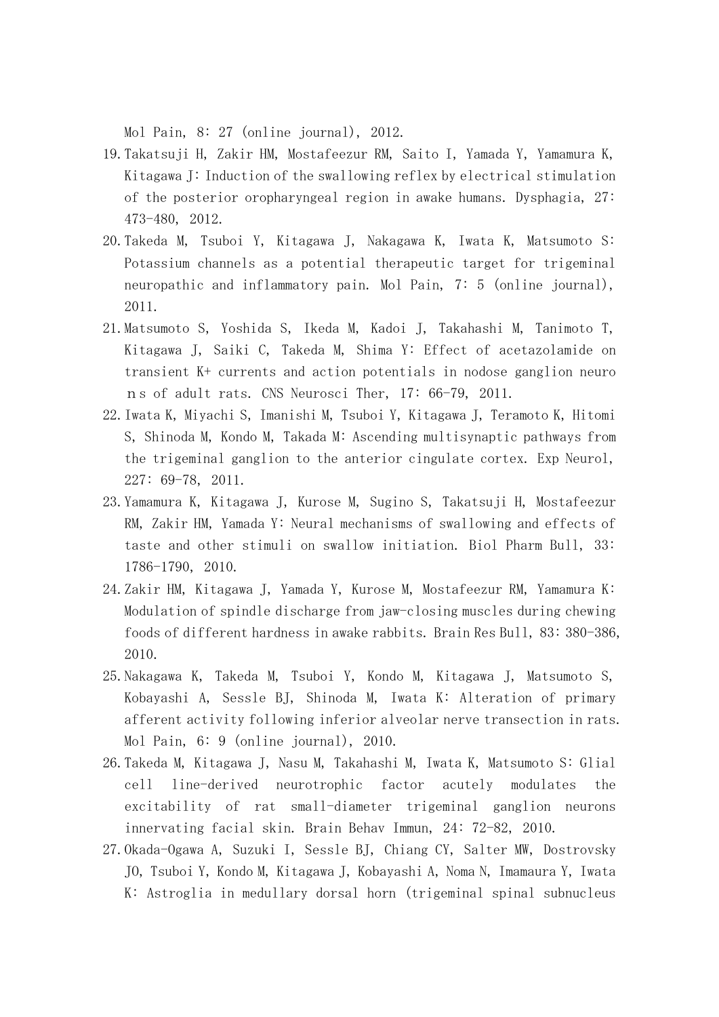Mol Pain, 8: 27 (online journal), 2012.

- 19.Takatsuji H, Zakir HM, Mostafeezur RM, Saito I, Yamada Y, Yamamura K, Kitagawa J: Induction of the swallowing reflex by electrical stimulation of the posterior oropharyngeal region in awake humans. Dysphagia, 27: 473-480, 2012.
- 20.Takeda M, Tsuboi Y, Kitagawa J, Nakagawa K, Iwata K, Matsumoto S: Potassium channels as a potential therapeutic target for trigeminal neuropathic and inflammatory pain. Mol Pain, 7: 5 (online journal), 2011.
- 21.Matsumoto S, Yoshida S, Ikeda M, Kadoi J, Takahashi M, Tanimoto T, Kitagawa J, Saiki C, Takeda M, Shima Y: Effect of acetazolamide on transient K+ currents and action potentials in nodose ganglion neuro ns of adult rats. CNS Neurosci Ther, 17: 66-79, 2011.
- 22.Iwata K, Miyachi S, Imanishi M, Tsuboi Y, Kitagawa J, Teramoto K, Hitomi S, Shinoda M, Kondo M, Takada M: Ascending multisynaptic pathways from the trigeminal ganglion to the anterior cingulate cortex. Exp Neurol, 227: 69-78, 2011.
- 23.Yamamura K, Kitagawa J, Kurose M, Sugino S, Takatsuji H, Mostafeezur RM, Zakir HM, Yamada Y: Neural mechanisms of swallowing and effects of taste and other stimuli on swallow initiation. Biol Pharm Bull, 33: 1786-1790, 2010.
- 24.Zakir HM, Kitagawa J, Yamada Y, Kurose M, Mostafeezur RM, Yamamura K: Modulation of spindle discharge from jaw-closing muscles during chewing foods of different hardness in awake rabbits. Brain Res Bull, 83: 380-386, 2010.
- 25.Nakagawa K, Takeda M, Tsuboi Y, Kondo M, Kitagawa J, Matsumoto S, Kobayashi A, Sessle BJ, Shinoda M, Iwata K: Alteration of primary afferent activity following inferior alveolar nerve transection in rats. Mol Pain, 6: 9 (online journal), 2010.
- 26.Takeda M, Kitagawa J, Nasu M, Takahashi M, Iwata K, Matsumoto S: Glial cell line-derived neurotrophic factor acutely modulates the excitability of rat small-diameter trigeminal ganglion neurons innervating facial skin. Brain Behav Immun, 24: 72-82, 2010.
- 27.Okada-Ogawa A, Suzuki I, Sessle BJ, Chiang CY, Salter MW, Dostrovsky JO, Tsuboi Y, Kondo M, Kitagawa J, Kobayashi A, Noma N, Imamaura Y, Iwata K: Astroglia in medullary dorsal horn (trigeminal spinal subnucleus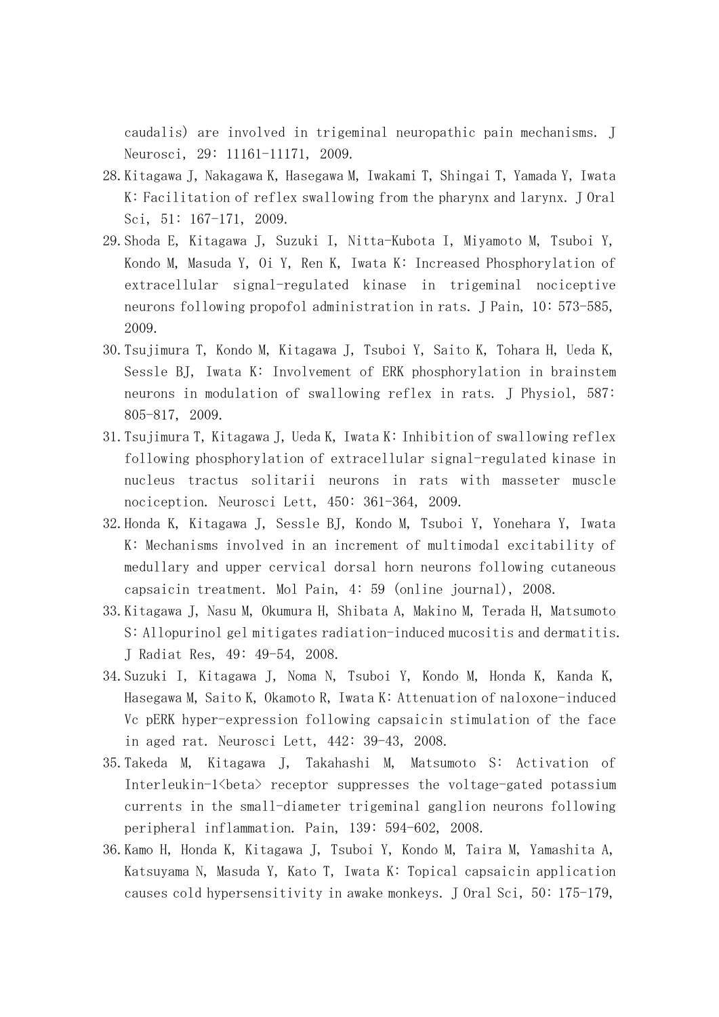caudalis) are involved in trigeminal neuropathic pain mechanisms. J Neurosci, 29: 11161-11171, 2009.

- 28.Kitagawa J, Nakagawa K, Hasegawa M, Iwakami T, Shingai T, Yamada Y, Iwata K: Facilitation of reflex swallowing from the pharynx and larynx. J Oral Sci, 51: 167-171, 2009.
- 29.Shoda E, Kitagawa J, Suzuki I, Nitta-Kubota I, Miyamoto M, Tsuboi Y, Kondo M, Masuda Y, Oi Y, Ren K, Iwata K: Increased Phosphorylation of extracellular signal-regulated kinase in trigeminal nociceptive neurons following propofol administration in rats. J Pain, 10: 573-585, 2009.
- 30.Tsujimura T, Kondo M, Kitagawa J, Tsuboi Y, Saito K, Tohara H, Ueda K, Sessle BJ, Iwata K: Involvement of ERK phosphorylation in brainstem neurons in modulation of swallowing reflex in rats. J Physiol, 587: 805-817, 2009.
- 31.Tsujimura T, Kitagawa J, Ueda K, Iwata K: Inhibition of swallowing reflex following phosphorylation of extracellular signal-regulated kinase in nucleus tractus solitarii neurons in rats with masseter muscle nociception. Neurosci Lett, 450: 361-364, 2009.
- 32.Honda K, Kitagawa J, Sessle BJ, Kondo M, Tsuboi Y, Yonehara Y, Iwata K: Mechanisms involved in an increment of multimodal excitability of medullary and upper cervical dorsal horn neurons following cutaneous capsaicin treatment. Mol Pain, 4: 59 (online journal), 2008.
- 33.Kitagawa J, Nasu M, Okumura H, Shibata A, Makino M, Terada H, Matsumoto S: Allopurinol gel mitigates radiation-induced mucositis and dermatitis. J Radiat Res, 49: 49-54, 2008.
- 34.Suzuki I, Kitagawa J, Noma N, Tsuboi Y, Kondo M, Honda K, Kanda K, Hasegawa M, Saito K, Okamoto R, Iwata K: Attenuation of naloxone-induced Vc pERK hyper-expression following capsaicin stimulation of the face in aged rat. Neurosci Lett, 442: 39-43, 2008.
- 35.Takeda M, Kitagawa J, Takahashi M, Matsumoto S: Activation of Interleukin-1<br/>beta> receptor suppresses the voltage-gated potassium currents in the small-diameter trigeminal ganglion neurons following peripheral inflammation. Pain, 139: 594-602, 2008.
- 36.Kamo H, Honda K, Kitagawa J, Tsuboi Y, Kondo M, Taira M, Yamashita A, Katsuyama N, Masuda Y, Kato T, Iwata K: Topical capsaicin application causes cold hypersensitivity in awake monkeys. J Oral Sci, 50: 175-179,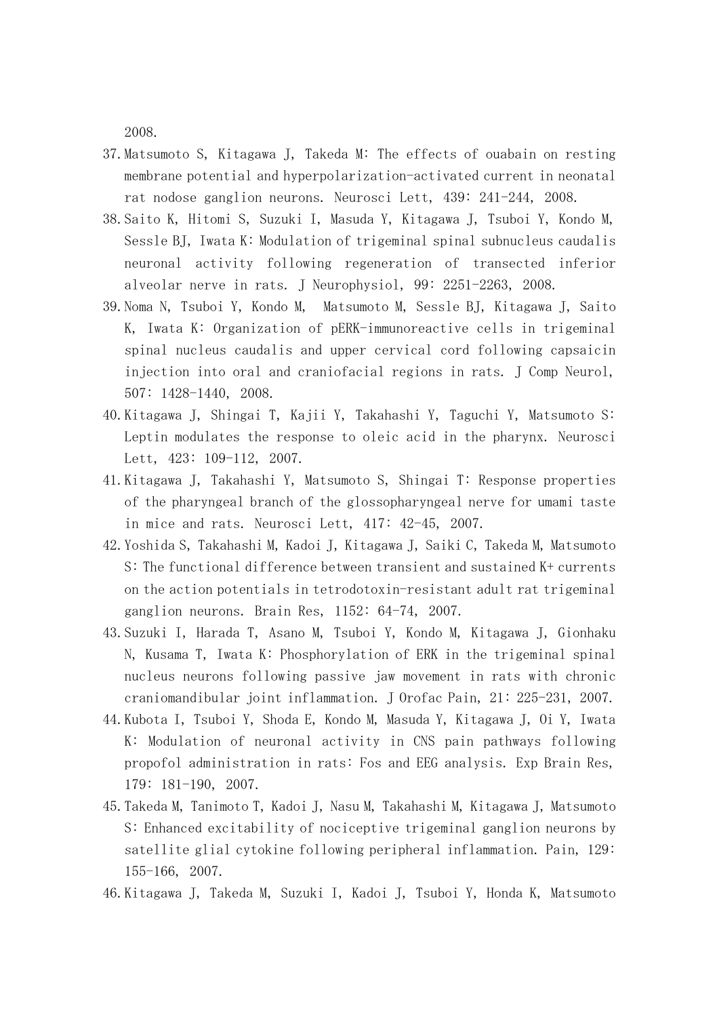2008.

- 37.Matsumoto S, Kitagawa J, Takeda M: The effects of ouabain on resting membrane potential and hyperpolarization-activated current in neonatal rat nodose ganglion neurons. Neurosci Lett, 439: 241-244, 2008.
- 38.Saito K, Hitomi S, Suzuki I, Masuda Y, Kitagawa J, Tsuboi Y, Kondo M, Sessle BJ, Iwata K: Modulation of trigeminal spinal subnucleus caudalis neuronal activity following regeneration of transected inferior alveolar nerve in rats. J Neurophysiol, 99: 2251-2263, 2008.
- 39.Noma N, Tsuboi Y, Kondo M, Matsumoto M, Sessle BJ, Kitagawa J, Saito K, Iwata K: Organization of pERK-immunoreactive cells in trigeminal spinal nucleus caudalis and upper cervical cord following capsaicin injection into oral and craniofacial regions in rats. J Comp Neurol, 507: 1428-1440, 2008.
- 40.Kitagawa J, Shingai T, Kajii Y, Takahashi Y, Taguchi Y, Matsumoto S: Leptin modulates the response to oleic acid in the pharynx. Neurosci Lett, 423: 109-112, 2007.
- 41.Kitagawa J, Takahashi Y, Matsumoto S, Shingai T: Response properties of the pharyngeal branch of the glossopharyngeal nerve for umami taste in mice and rats. Neurosci Lett, 417: 42-45, 2007.
- 42.Yoshida S, Takahashi M, Kadoi J, Kitagawa J, Saiki C, Takeda M, Matsumoto S: The functional difference between transient and sustained K+ currents on the action potentials in tetrodotoxin-resistant adult rat trigeminal ganglion neurons. Brain Res, 1152: 64-74, 2007.
- 43.Suzuki I, Harada T, Asano M, Tsuboi Y, Kondo M, Kitagawa J, Gionhaku N, Kusama T, Iwata K: Phosphorylation of ERK in the trigeminal spinal nucleus neurons following passive jaw movement in rats with chronic craniomandibular joint inflammation. J Orofac Pain, 21: 225-231, 2007.
- 44.Kubota I, Tsuboi Y, Shoda E, Kondo M, Masuda Y, Kitagawa J, Oi Y, Iwata K: Modulation of neuronal activity in CNS pain pathways following propofol administration in rats: Fos and EEG analysis. Exp Brain Res, 179: 181-190, 2007.
- 45.Takeda M, Tanimoto T, Kadoi J, Nasu M, Takahashi M, Kitagawa J, Matsumoto S: Enhanced excitability of nociceptive trigeminal ganglion neurons by satellite glial cytokine following peripheral inflammation. Pain, 129: 155-166, 2007.
- 46.Kitagawa J, Takeda M, Suzuki I, Kadoi J, Tsuboi Y, Honda K, Matsumoto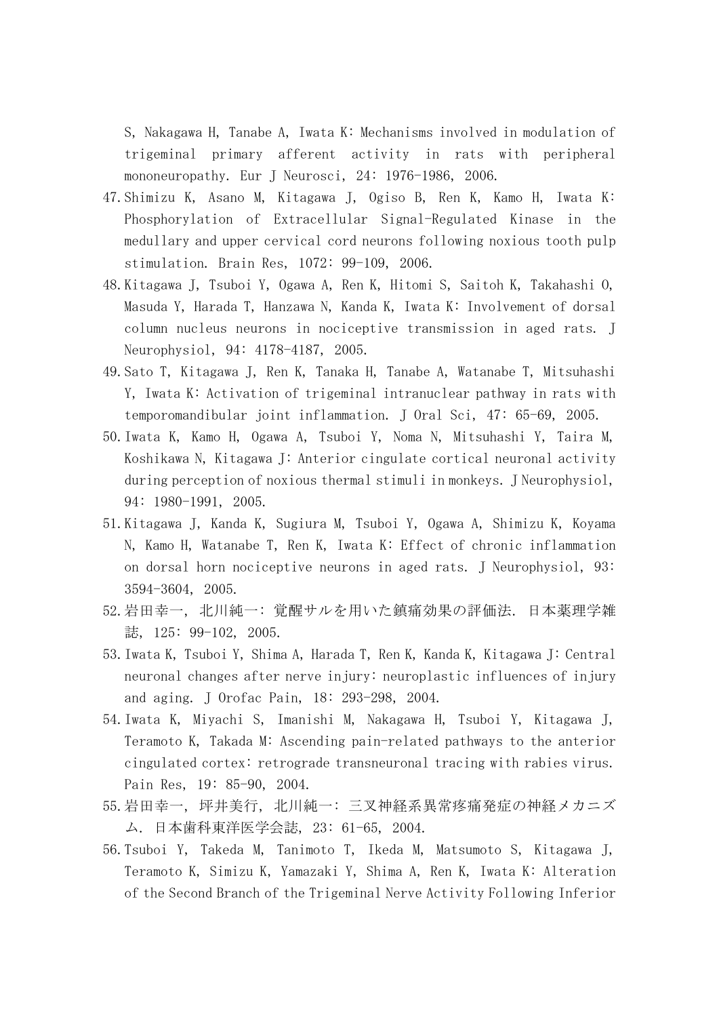S, Nakagawa H, Tanabe A, Iwata K: Mechanisms involved in modulation of trigeminal primary afferent activity in rats with peripheral mononeuropathy. Eur J Neurosci, 24: 1976-1986, 2006.

- 47.Shimizu K, Asano M, Kitagawa J, Ogiso B, Ren K, Kamo H, Iwata K: Phosphorylation of Extracellular Signal-Regulated Kinase in the medullary and upper cervical cord neurons following noxious tooth pulp stimulation. Brain Res, 1072: 99-109, 2006.
- 48.Kitagawa J, Tsuboi Y, Ogawa A, Ren K, Hitomi S, Saitoh K, Takahashi O, Masuda Y, Harada T, Hanzawa N, Kanda K, Iwata K: Involvement of dorsal column nucleus neurons in nociceptive transmission in aged rats. J Neurophysiol, 94: 4178-4187, 2005.
- 49.Sato T, Kitagawa J, Ren K, Tanaka H, Tanabe A, Watanabe T, Mitsuhashi Y, Iwata K: Activation of trigeminal intranuclear pathway in rats with temporomandibular joint inflammation. J Oral Sci, 47: 65-69, 2005.
- 50.Iwata K, Kamo H, Ogawa A, Tsuboi Y, Noma N, Mitsuhashi Y, Taira M, Koshikawa N, Kitagawa J: Anterior cingulate cortical neuronal activity during perception of noxious thermal stimuli in monkeys. J Neurophysiol, 94: 1980-1991, 2005.
- 51.Kitagawa J, Kanda K, Sugiura M, Tsuboi Y, Ogawa A, Shimizu K, Koyama N, Kamo H, Watanabe T, Ren K, Iwata K: Effect of chronic inflammation on dorsal horn nociceptive neurons in aged rats. J Neurophysiol, 93: 3594-3604, 2005.
- 52.岩田幸一, 北川純一: 覚醒サルを用いた鎮痛効果の評価法. 日本薬理学雑 誌, 125: 99-102, 2005.
- 53.Iwata K, Tsuboi Y, Shima A, Harada T, Ren K, Kanda K, Kitagawa J: Central neuronal changes after nerve injury: neuroplastic influences of injury and aging. J Orofac Pain, 18: 293-298, 2004.
- 54.Iwata K, Miyachi S, Imanishi M, Nakagawa H, Tsuboi Y, Kitagawa J, Teramoto K, Takada M: Ascending pain-related pathways to the anterior cingulated cortex: retrograde transneuronal tracing with rabies virus. Pain Res, 19: 85-90, 2004.
- 55.岩田幸一, 坪井美行, 北川純一: 三叉神経系異常疼痛発症の神経メカニズ ム. 日本歯科東洋医学会誌, 23: 61-65, 2004.
- 56.Tsuboi Y, Takeda M, Tanimoto T, Ikeda M, Matsumoto S, Kitagawa J, Teramoto K, Simizu K, Yamazaki Y, Shima A, Ren K, Iwata K: Alteration of the Second Branch of the Trigeminal Nerve Activity Following Inferior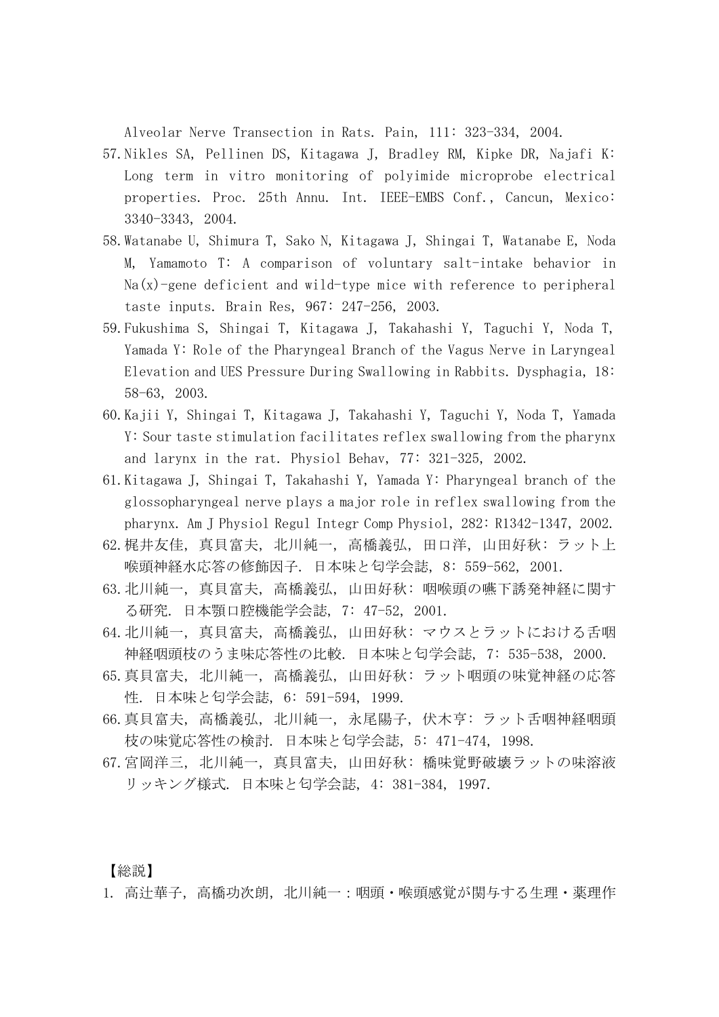Alveolar Nerve Transection in Rats. Pain, 111: 323-334, 2004.

- 57.Nikles SA, Pellinen DS, Kitagawa J, Bradley RM, Kipke DR, Najafi K: Long term in vitro monitoring of polyimide microprobe electrical properties. Proc. 25th Annu. Int. IEEE-EMBS Conf., Cancun, Mexico: 3340-3343, 2004.
- 58.Watanabe U, Shimura T, Sako N, Kitagawa J, Shingai T, Watanabe E, Noda M, Yamamoto T: A comparison of voluntary salt-intake behavior in  $Na(x)$ -gene deficient and wild-type mice with reference to peripheral taste inputs. Brain Res, 967: 247-256, 2003.
- 59.Fukushima S, Shingai T, Kitagawa J, Takahashi Y, Taguchi Y, Noda T, Yamada Y: Role of the Pharyngeal Branch of the Vagus Nerve in Laryngeal Elevation and UES Pressure During Swallowing in Rabbits. Dysphagia, 18: 58-63, 2003.
- 60.Kajii Y, Shingai T, Kitagawa J, Takahashi Y, Taguchi Y, Noda T, Yamada Y: Sour taste stimulation facilitates reflex swallowing from the pharynx and larynx in the rat. Physiol Behav, 77: 321-325, 2002.
- 61.Kitagawa J, Shingai T, Takahashi Y, Yamada Y: Pharyngeal branch of the glossopharyngeal nerve plays a major role in reflex swallowing from the pharynx. Am J Physiol Regul Integr Comp Physiol, 282: R1342-1347, 2002.
- 62.梶井友佳, 真貝富夫, 北川純一, 高橋義弘, 田口洋, 山田好秋: ラット上 喉頭神経水応答の修飾因子. 日本味と匂学会誌, 8: 559-562, 2001.
- 63.北川純一, 真貝富夫, 高橋義弘, 山田好秋: 咽喉頭の嚥下誘発神経に関す る研究. 日本顎口腔機能学会誌, 7: 47-52, 2001.
- 64.北川純一, 真貝富夫, 高橋義弘, 山田好秋: マウスとラットにおける舌咽 神経咽頭枝のうま味応答性の比較. 日本味と匂学会誌, 7: 535-538, 2000.
- 65.真貝富夫, 北川純一, 高橋義弘, 山田好秋: ラット咽頭の味覚神経の応答 性. 日本味と匂学会誌, 6: 591-594, 1999.
- 66.真貝富夫, 高橋義弘, 北川純一, 永尾陽子, 伏木亨: ラット舌咽神経咽頭 枝の味覚応答性の検討. 日本味と匂学会誌, 5: 471-474, 1998.
- 67.宮岡洋三, 北川純一, 真貝富夫, 山田好秋: 橋味覚野破壊ラットの味溶液 リッキング様式. 日本味と匂学会誌, 4: 381-384, 1997.

【総説】

1. 高辻華子,高橋功次朗,北川純一:咽頭・喉頭感覚が関与する生理・薬理作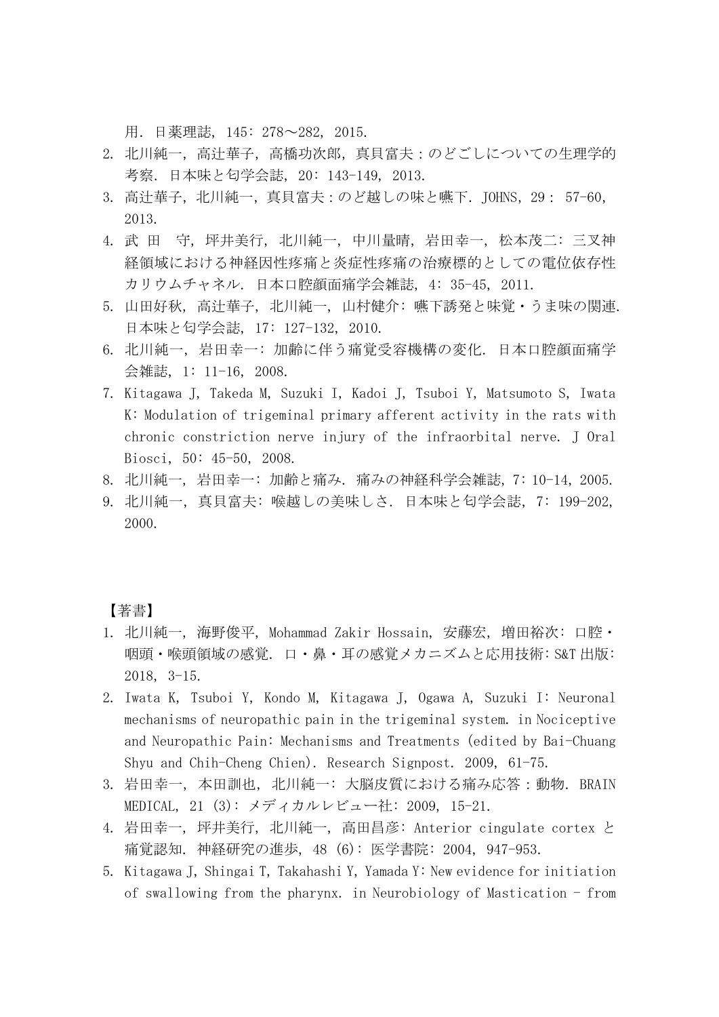用.日薬理誌, 145: 278~282, 2015.

- 2. 北川純一, 高辻華子, 高橋功次郎, 真貝富夫 : のどごしについての生理学的 考察.日本味と匂学会誌, 20: 143-149, 2013.
- 3. 高辻華子,北川純一,真貝富夫:のど越しの味と嚥下.JOHNS,29: 57-60, 2013.
- 4. 武 田 守, 坪井美行, 北川純一, 中川量晴, 岩田幸一, 松本茂二: 三叉神 経領域における神経因性疼痛と炎症性疼痛の治療標的としての電位依存性 カリウムチャネル. 日本口腔顔面痛学会雑誌, 4: 35-45, 2011.
- 5. 山田好秋, 高辻華子, 北川純一, 山村健介: 嚥下誘発と味覚・うま味の関連. 日本味と匂学会誌, 17: 127-132, 2010.
- 6. 北川純一, 岩田幸一: 加齢に伴う痛覚受容機構の変化. 日本口腔顔面痛学 会雑誌, 1: 11-16, 2008.
- 7. Kitagawa J, Takeda M, Suzuki I, Kadoi J, Tsuboi Y, Matsumoto S, Iwata K: Modulation of trigeminal primary afferent activity in the rats with chronic constriction nerve injury of the infraorbital nerve. J Oral Biosci, 50: 45-50, 2008.
- 8. 北川純一, 岩田幸一: 加齢と痛み. 痛みの神経科学会雑誌, 7: 10-14, 2005.
- 9. 北川純一, 真貝富夫: 喉越しの美味しさ. 日本味と匂学会誌, 7: 199-202, 2000.

【著書】

- 1. 北川純一, 海野俊平, Mohammad Zakir Hossain, 安藤宏, 増田裕次: 口腔・ 咽頭・喉頭領域の感覚. 口・鼻・耳の感覚メカニズムと応用技術: S&T 出版: 2018, 3-15.
- 2. Iwata K, Tsuboi Y, Kondo M, Kitagawa J, Ogawa A, Suzuki I: Neuronal mechanisms of neuropathic pain in the trigeminal system. in Nociceptive and Neuropathic Pain: Mechanisms and Treatments (edited by Bai-Chuang Shyu and Chih-Cheng Chien). Research Signpost. 2009, 61-75.
- 3. 岩田幸一, 本田訓也, 北川純一: 大脳皮質における痛み応答:動物. BRAIN MEDICAL, 21 (3): メディカルレビュー社: 2009, 15-21.
- 4. 岩田幸一, 坪井美行, 北川純一, 高田昌彦: Anterior cingulate cortex と 痛覚認知. 神経研究の進歩, 48 (6): 医学書院: 2004, 947-953.
- 5. Kitagawa J, Shingai T, Takahashi Y, Yamada Y: New evidence for initiation of swallowing from the pharynx. in Neurobiology of Mastication - from